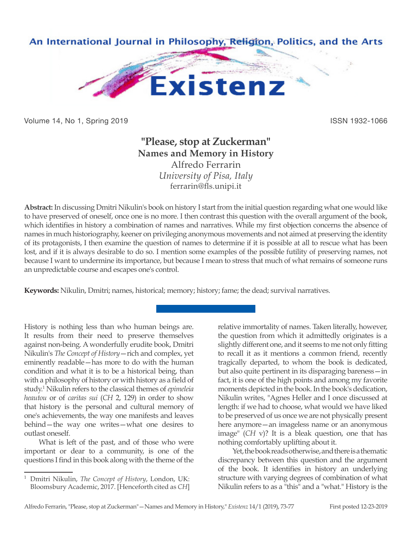

Volume 14, No 1, Spring 2019 **ISSN 1932-1066** ISSN 1932-1066

## **"Please, stop at Zuckerman" Names and Memory in History** Alfredo Ferrarin *University of Pisa, Italy*

ferrarin@fls.unipi.it

**Abstract:** In discussing Dmitri Nikulin's book on history I start from the initial question regarding what one would like to have preserved of oneself, once one is no more. I then contrast this question with the overall argument of the book, which identifies in history a combination of names and narratives. While my first objection concerns the absence of names in much historiography, keener on privileging anonymous movements and not aimed at preserving the identity of its protagonists, I then examine the question of names to determine if it is possible at all to rescue what has been lost, and if it is always desirable to do so. I mention some examples of the possible futility of preserving names, not because I want to undermine its importance, but because I mean to stress that much of what remains of someone runs an unpredictable course and escapes one's control.

**Keywords:** Nikulin, Dmitri; names, historical; memory; history; fame; the dead; survival narratives.

History is nothing less than who human beings are. It results from their need to preserve themselves against non-being. A wonderfully erudite book, Dmitri Nikulin's *The Concept of History*—rich and complex, yet eminently readable—has more to do with the human condition and what it is to be a historical being, than with a philosophy of history or with history as a field of study.<sup>1</sup> Nikulin refers to the classical themes of *epimeleia heautou* or of *caritas sui* (*CH* 2, 129) in order to show that history is the personal and cultural memory of one's achievements, the way one manifests and leaves behind—the way one writes—what one desires to outlast oneself.

What is left of the past, and of those who were important or dear to a community, is one of the questions I find in this book along with the theme of the relative immortality of names. Taken literally, however, the question from which it admittedly originates is a slightly different one, and it seems to me not only fitting to recall it as it mentions a common friend, recently tragically departed, to whom the book is dedicated, but also quite pertinent in its disparaging bareness—in fact, it is one of the high points and among my favorite moments depicted in the book. In the book's dedication, Nikulin writes, "Agnes Heller and I once discussed at length: if we had to choose, what would we have liked to be preserved of us once we are not physically present here anymore—an imageless name or an anonymous image" (*CH* v)? It is a bleak question, one that has nothing comfortably uplifting about it.

Yet, the book reads otherwise, and there is a thematic discrepancy between this question and the argument of the book. It identifies in history an underlying structure with varying degrees of combination of what Nikulin refers to as a "this" and a "what." History is the

<sup>1</sup> Dmitri Nikulin, *The Concept of History*, London, UK: Bloomsbury Academic, 2017. [Henceforth cited as *CH*]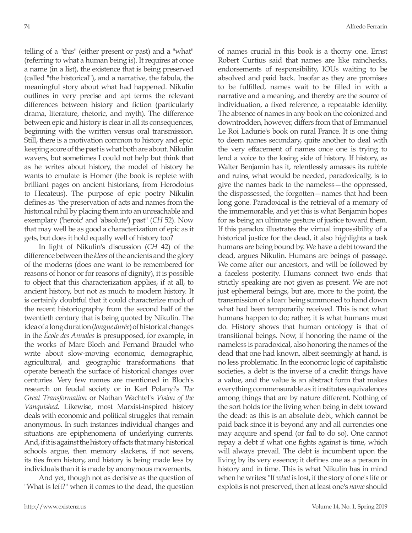telling of a "this" (either present or past) and a "what" (referring to what a human being is). It requires at once a name (in a list), the existence that is being preserved (called "the historical"), and a narrative, the fabula, the meaningful story about what had happened. Nikulin outlines in very precise and apt terms the relevant differences between history and fiction (particularly drama, literature, rhetoric, and myth). The difference between epic and history is clear in all its consequences, beginning with the written versus oral transmission. Still, there is a motivation common to history and epic: keeping score of the past is what both are about. Nikulin wavers, but sometimes I could not help but think that as he writes about history, the model of history he wants to emulate is Homer (the book is replete with brilliant pages on ancient historians, from Herodotus to Hecateus). The purpose of epic poetry Nikulin defines as "the preservation of acts and names from the historical nihil by placing them into an unreachable and exemplary ('heroic' and 'absolute') past" (*CH* 52). Now that may well be as good a characterization of epic as it gets, but does it hold equally well of history too?

In light of Nikulin's discussion (*CH* 42) of the difference between the *kleos* of the ancients and the glory of the moderns (does one want to be remembered for reasons of honor or for reasons of dignity), it is possible to object that this characterization applies, if at all, to ancient history, but not as much to modern history. It is certainly doubtful that it could characterize much of the recent historiography from the second half of the twentieth century that is being quoted by Nikulin. The idea of a long duration (*longue durée*) of historical changes in the *École des Annales* is presupposed, for example, in the works of Marc Bloch and Fernand Braudel who write about slow-moving economic, demographic, agricultural, and geographic transformations that operate beneath the surface of historical changes over centuries. Very few names are mentioned in Bloch's research on feudal society or in Karl Polanyi's *The Great Transformation* or Nathan Wachtel's *Vision of the Vanquished*. Likewise, most Marxist-inspired history deals with economic and political struggles that remain anonymous. In such instances individual changes and situations are epiphenomena of underlying currents. And, if it is against the history of facts that many historical schools argue, then memory slackens, if not severs, its ties from history, and history is being made less by individuals than it is made by anonymous movements.

And yet, though not as decisive as the question of "What is left?" when it comes to the dead, the question of names crucial in this book is a thorny one. Ernst Robert Curtius said that names are like rainchecks, endorsements of responsibility, IOUs waiting to be absolved and paid back. Insofar as they are promises to be fulfilled, names wait to be filled in with a narrative and a meaning, and thereby are the source of individuation, a fixed reference, a repeatable identity. The absence of names in any book on the colonized and downtrodden, however, differs from that of Emmanuel Le Roi Ladurie's book on rural France. It is one thing to deem names secondary, quite another to deal with the very effacement of names once one is trying to lend a voice to the losing side of history. If history, as Walter Benjamin has it, relentlessly amasses its rubble and ruins, what would be needed, paradoxically, is to give the names back to the nameless—the oppressed, the dispossessed, the forgotten—names that had been long gone. Paradoxical is the retrieval of a memory of the immemorable, and yet this is what Benjamin hopes for as being an ultimate gesture of justice toward them. If this paradox illustrates the virtual impossibility of a historical justice for the dead, it also highlights a task humans are being bound by. We have a debt toward the dead, argues Nikulin. Humans are beings of passage. We come after our ancestors, and will be followed by a faceless posterity. Humans connect two ends that strictly speaking are not given as present. We are not just ephemeral beings, but are, more to the point, the transmission of a loan: being summoned to hand down what had been temporarily received. This is not what humans happen to do; rather, it is what humans must do. History shows that human ontology is that of transitional beings. Now, if honoring the name of the nameless is paradoxical, also honoring the names of the dead that one had known, albeit seemingly at hand, is no less problematic. In the economic logic of capitalistic societies, a debt is the inverse of a credit: things have a value, and the value is an abstract form that makes everything commensurable as it institutes equivalences among things that are by nature different. Nothing of the sort holds for the living when being in debt toward the dead: as this is an absolute debt, which cannot be paid back since it is beyond any and all currencies one may acquire and spend (or fail to do so). One cannot repay a debt if what one fights against is time, which will always prevail. The debt is incumbent upon the living by its very essence; it defines one as a person in history and in time. This is what Nikulin has in mind when he writes: "If *what* is lost, if the story of one's life or exploits is not preserved, then at least one's *name* should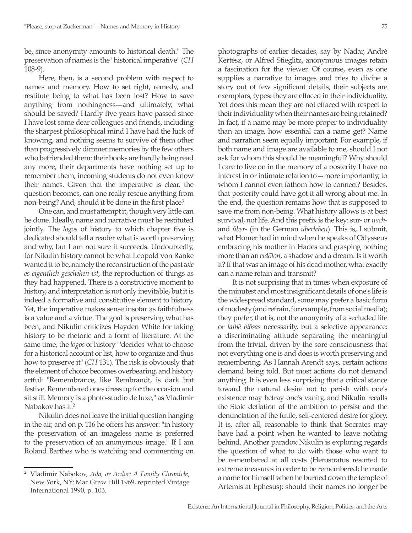be, since anonymity amounts to historical death." The preservation of names is the "historical imperative" (*CH* 108-9).

Here, then, is a second problem with respect to names and memory. How to set right, remedy, and restitute being to what has been lost? How to save anything from nothingness––and ultimately, what should be saved? Hardly five years have passed since I have lost some dear colleagues and friends, including the sharpest philosophical mind I have had the luck of knowing, and nothing seems to survive of them other than progressively dimmer memories by the few others who befriended them: their books are hardly being read any more, their departments have nothing set up to remember them, incoming students do not even know their names. Given that the imperative is clear, the question becomes, can one really rescue anything from non-being? And, should it be done in the first place?

One can, and must attempt it, though very little can be done. Ideally, name and narrative must be restituted jointly. The *logos* of history to which chapter five is dedicated should tell a reader what is worth preserving and why, but I am not sure it succeeds. Undoubtedly, for Nikulin history cannot be what Leopold von Ranke wanted it to be, namely the reconstruction of the past *wie es eigentlich geschehen ist*, the reproduction of things as they had happened. There is a constructive moment to history, and interpretation is not only inevitable, but it is indeed a formative and constitutive element to history. Yet, the imperative makes sense insofar as faithfulness is a value and a virtue. The goal is preserving what has been, and Nikulin criticizes Hayden White for taking history to be rhetoric and a form of literature. At the same time, the *logos* of history "'decides' what to choose for a historical account or list, how to organize and thus how to preserve it" (*CH* 131). The risk is obviously that the element of choice becomes overbearing, and history artful: "Remembrance, like Rembrandt, is dark but festive. Remembered ones dress up for the occasion and sit still. Memory is a photo-studio de luxe," as Vladimir Nabokov has it.<sup>2</sup>

Nikulin does not leave the initial question hanging in the air, and on p. 116 he offers his answer: "in history the preservation of an imageless name is preferred to the preservation of an anonymous image." If I am Roland Barthes who is watching and commenting on photographs of earlier decades, say by Nadar, André Kertész, or Alfred Stieglitz, anonymous images retain a fascination for the viewer. Of course, even as one supplies a narrative to images and tries to divine a

story out of few significant details, their subjects are exemplars, types: they are effaced in their individuality. Yet does this mean they are not effaced with respect to their individuality when their names are being retained? In fact, if a name may be more proper to individuality than an image, how essential can a name get? Name and narration seem equally important. For example, if both name and image are available to me, should I not ask for whom this should be meaningful? Why should I care to live on in the memory of a posterity I have no interest in or intimate relation to—more importantly, to whom I cannot even fathom how to connect? Besides, that posterity could have got it all wrong about me. In the end, the question remains how that is supposed to save me from non-being. What history allows is at best survival, not life. And this prefix is the key: sur- or *nach*and *über*- (in the German *überleben*). This is, I submit, what Homer had in mind when he speaks of Odysseus embracing his mother in Hades and grasping nothing more than an *eidōlon*, a shadow and a dream. Is it worth it? If that was an image of his dead mother, what exactly can a name retain and transmit?

It is not surprising that in times when exposure of the minutest and most insignificant details of one's life is the widespread standard, some may prefer a basic form of modesty (and refrain, for example, from social media); they prefer, that is, not the anonymity of a secluded life or *lathê biôsas* necessarily, but a selective appearance: a discriminating attitude separating the meaningful from the trivial, driven by the sore consciousness that not everything one is and does is worth preserving and remembering. As Hannah Arendt says, certain actions demand being told. But most actions do not demand anything. It is even less surprising that a critical stance toward the natural desire not to perish with one's existence may betray one's vanity, and Nikulin recalls the Stoic deflation of the ambition to persist and the denunciation of the futile, self-centered desire for glory. It is, after all, reasonable to think that Socrates may have had a point when he wanted to leave nothing behind. Another paradox Nikulin is exploring regards the question of what to do with those who want to be remembered at all costs (Herostratus resorted to extreme measures in order to be remembered; he made a name for himself when he burned down the temple of Artemis at Ephesus): should their names no longer be

<sup>2</sup> Vladimir Nabokov, *Ada, or Ardor: A Family Chronicle*, New York, NY: Mac Graw Hill 1969, reprinted Vintage International 1990, p. 103.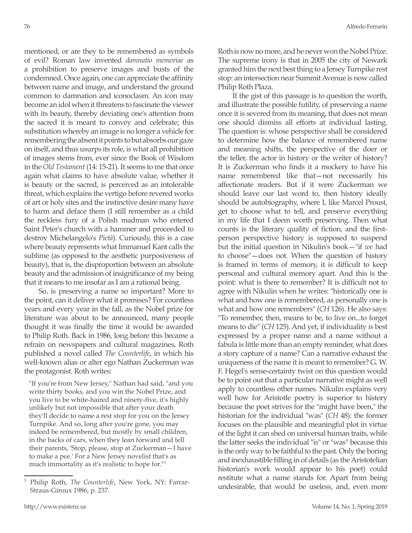mentioned, or are they to be remembered as symbols of evil? Roman law invented *damnatio memoriae* as a prohibition to preserve images and busts of the condemned. Once again, one can appreciate the affinity between name and image, and understand the ground common to damnation and iconoclasm. An icon may become an idol when it threatens to fascinate the viewer with its beauty, thereby deviating one's attention from the sacred it is meant to convey and celebrate; this substitution whereby an image is no longer a vehicle for remembering the absent it points to but absorbs our gaze on itself, and thus usurps its role, is what all prohibition of images stems from, ever since the Book of Wisdom in the *Old Testament* (14: 15-21). It seems to me that once again what claims to have absolute value, whether it is beauty or the sacred, is perceived as an intolerable threat, which explains the vertigo before revered works of art or holy sites and the instinctive desire many have to harm and deface them (I still remember as a child the reckless fury of a Polish madman who entered Saint Peter's church with a hammer and proceeded to destroy Michelangelo's *Pietà*). Curiously, this is a case where beauty represents what Immanuel Kant calls the sublime (as opposed to the aesthetic purposiveness of beauty), that is, the disproportion between an absolute beauty and the admission of insignificance of my being that it means to me insofar as I am a rational being.

So, is preserving a name so important? More to the point, can it deliver what it promises? For countless years and every year in the fall, as the Nobel prize for literature was about to be announced, many people thought it was finally the time it would be awarded to Philip Roth. Back in 1986, long before this became a refrain on newspapers and cultural magazines, Roth published a novel called *The Counterlife*, in which his well-known alias or alter ego Nathan Zuckerman was the protagonist. Roth writes:

"If you're from New Jersey," Nathan had said, "and you write thirty books, and you win the Nobel Prize, and you live to be white-haired and ninety-five, it's highly unlikely but not impossible that after your death they'll decide to name a rest stop for you on the Jersey Turnpike. And so, long after you're gone, you may indeed be remembered, but mostly by small children, in the backs of cars, when they lean forward and tell their parents, 'Stop, please, stop at Zuckerman—I have to make a pee.' For a New Jersey novelist that's as much immortality as it's realistic to hope for."<sup>3</sup>

Roth is now no more, and he never won the Nobel Prize. The supreme irony is that in 2005 the city of Newark granted him the next best thing to a Jersey Turnpike rest stop: an intersection near Summit Avenue is now called Philip Roth Plaza.

If the gist of this passage is to question the worth, and illustrate the possible futility, of preserving a name once it is severed from its meaning, that does not mean one should dismiss all efforts at individual lasting. The question is: whose perspective shall be considered to determine how the balance of remembered name and meaning shifts, the perspective of the doer or the teller, the actor in history or the writer of history? It is Zuckerman who finds it a mockery to have his name remembered like that—not necessarily his affectionate readers. But if it were Zuckerman we should leave our last word to, then history ideally should be autobiography, where I, like Marcel Proust, get to choose what to tell, and preserve everything in my life that I deem worth preserving. Then what counts is the literary quality of fiction, and the firstperson perspective history is supposed to suspend but the initial question in Nikulin's book—"if *we* had to choose"—does not. When the question of history is framed in terms of memory, it is difficult to keep personal and cultural memory apart. And this is the point: what is there to remember? It is difficult not to agree with Nikulin when he writes: "historically one is what and how one is remembered, as personally one is what and how one remembers" (*CH* 126). He also says: "To remember, then, means to be, to live on...to forget means to die" (*CH* 125). And yet, if individuality is best expressed by a proper name and a name without a fabula is little more than an empty reminder, what does a story capture of a name? Can a narrative exhaust the uniqueness of the name it is meant to remember? G. W. F. Hegel's sense-certainty twist on this question would be to point out that a particular narrative might as well apply to countless other names. Nikulin explains very well how for Aristotle poetry is superior to history because the poet strives for the "might have been," the historian for the individual "was" (*CH* 48): the former focuses on the plausible and meaningful plot in virtue of the light it can shed on universal human traits, while the latter seeks the individual "is" or "was" because this is the only way to be faithful to the past. Only the boring and inexhaustible filling in of details (as the Aristotelian historian's work would appear to his poet) could restitute what a name stands for. Apart from being undesirable, that would be useless, and, even more

<sup>3</sup> Philip Roth, *The Counterlife*, New York, NY: Farrar-Straus-Giroux 1986, p. 237.